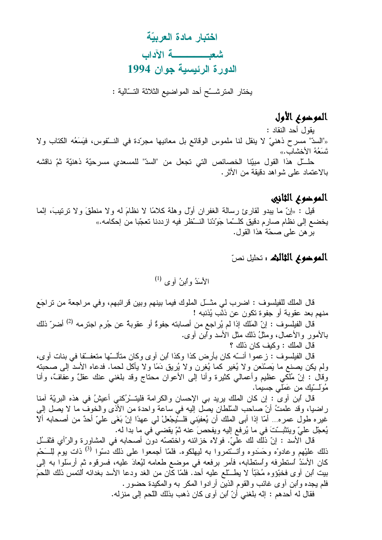اختبار مادة العربيّة شعب في الآداب الدورة الرئيسية جوان 1994

يختار المترشَّح أحد المواضيع الثلاثة التَّــالية :

## الموخوع الأول

بقول أحد النقاد :

«"السدّ" مسرح ذهنيّ لا ينقل لنا ملموس الوقائع بل معانيها مجرّدة في النسّقوس، فيَسَعُه الكتاب ولا تَسَعُهُ الأخشاب.»

حلَّـــل هذا القول مبيّنا الخصـائص التي تجعل من "السدّ" للمسعدي مسرحيّة ذهنيّة ثمّ ناقشه بالاعتماد على شواهد دقيقة من الأثر .

## الموضوع الثانيي

قيل : «إنَّ ما يبدو لقارئ رسالة الغفران أول وهلة كلامًا لا نظامَ له ولا منطقَ ولا نرتيبَ، إنَّما يخضع إلى نظام صارم دقيق كلـــمّـا جَوّدْنا النــــظر فيه ازددنا تعجّبا من إحكامه.» بر هن علي صحّة هذا القول.

## **الموخوم الثالث :** تحليل نصّ

الأسَدُ واُبنُ آوى <sup>(1)</sup>

قال الملك للفيلسوف : اضرب لي مثـــل الملوك فيما بينهم وبين قرائبهم، وفي مراجعة من تراجَع منهم بعد عقوبة أو جفوة تكون عن ذنَّب يُذنبه !

قال الفيلسوف : إنّ المَلك إذا لم يُراجع من أصابته جفوةٌ أو عقوبةٌ عن جُرم اجترمه <sup>(2)</sup> أضر ّ ذلك بـالأمور والأعمال، ومثلُ ذلك مثل الأسد وأبن أو ي.

قال الملك : وكيف كان ذلك ؟

قال الفيلسوف : زعموا أنــــّه كان بأرض كذا وكذا أبن آوى وكان متألــــّها متعفـــقا في بنات آوى، ولم يكن يصنع ما يَصنْعَن ولا يُغير كما يُغِرن ولا يُريق دَمًا ولا يأكل لحما. فدعاه الأسد إلى صحبته وقال : إنَّ مُلْكَى عظيم وأعمالي كثيرة وأنا إلى الأعوان محتاج وقد بلغني عنك عقلٌ وعفافٌ، وأنا مُوَلَّـــتِكَ من عَمَلَـى جسيما.

قال ابن أوىً : إن كان الملك بريد بي الإحسان والكرامة فليتـــْرُكني أعيشُ في هذه البريّة أمنا راضيا، وقد علمتُ أنّ صاحب السّلطان يصل إليه في ساعة واحدة من الأذى والخوف ما لا يصل إلى غير ه طول عمر ه... أمّا إذا أبي الملك أن يُعفيَني فلـــنْيجْعلْ لي عهدًا إنْ بَغَي عليّ أحدٌ من أصحابه ألآ يُعجّل عليّ ويتثبَّتَ في ما يُرفع إليه ويفحصَ عنه ثمّ يقضي في ما بدا له.

قال الأسد : إنّ ذلك لك علّيّ. فولاًه خزائنه واختصّه دون أصحابه في المشاورة والرّأي فثقــُل ذلك عليْهم وعادوْه وحَسَدوه وائـــُتمروا به ليهلكوه. فلمّا أجمعوا على ذلك دسّوا <sup>(3)</sup> ذات يوم لِلــَـحْم كان الأسَدُ استطرفه واستطابه، فأمر برفعه في موضع طعامه ليُعادَ عليه، فسرقوه ثم أرسلواً به إلى بيت أبن آو ي فخبَّؤو ه مُخَبًّا لا يطسِّلع عليه أحدٌ. فلمّا كَّان من الغد ودعا الأسد بغدائه النَّمس ذلك اللحمَ فلم يجده وأبن أوى غائب والقوم الذين أرادوا المكر به والمكيدة حضور . فقال له أحدهم : إنّه بلغني أنّ ابن آوى كان ذهب بذلك اللّحم إلى منزله.